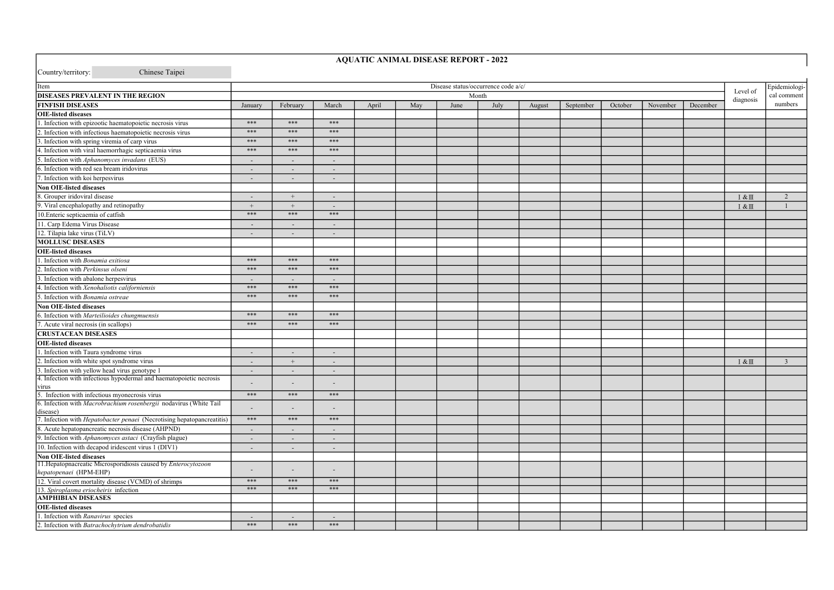| Country/territory:<br>Chinese Taipei                                                      |                                     |                          |        |       |     |      |          |               |           |         |          |          |              |                |
|-------------------------------------------------------------------------------------------|-------------------------------------|--------------------------|--------|-------|-----|------|----------|---------------|-----------|---------|----------|----------|--------------|----------------|
| Item                                                                                      | Disease status/occurrence code a/c/ |                          |        |       |     |      | Level of | Epidemiologi- |           |         |          |          |              |                |
| DISEASES PREVALENT IN THE REGION                                                          |                                     |                          |        |       |     |      | Month    |               |           |         |          |          | diagnosis    | cal comment    |
| <b>FINFISH DISEASES</b>                                                                   | January                             | February                 | March  | April | May | June | July     | August        | September | October | November | December |              | numbers        |
| <b>OIE-listed diseases</b>                                                                |                                     |                          |        |       |     |      |          |               |           |         |          |          |              |                |
| 1. Infection with epizootic haematopoietic necrosis virus                                 | $* * *$                             | $***$                    | $***$  |       |     |      |          |               |           |         |          |          |              |                |
| 2. Infection with infectious haematopoietic necrosis virus                                | $* * *$                             | $***$                    | ***    |       |     |      |          |               |           |         |          |          |              |                |
| 3. Infection with spring viremia of carp virus                                            | ***                                 | ***                      | $***$  |       |     |      |          |               |           |         |          |          |              |                |
| 4. Infection with viral haemorrhagic septicaemia virus                                    | ***                                 | $***$                    | $***$  |       |     |      |          |               |           |         |          |          |              |                |
| 5. Infection with Aphanomyces invadans (EUS)                                              | $\overline{a}$                      |                          |        |       |     |      |          |               |           |         |          |          |              |                |
| 6. Infection with red sea bream iridovirus                                                | $\overline{\phantom{a}}$            | $\sim$                   | $\sim$ |       |     |      |          |               |           |         |          |          |              |                |
| 7. Infection with koi herpesvirus                                                         | $\overline{a}$                      | $\sim$                   | $\sim$ |       |     |      |          |               |           |         |          |          |              |                |
| <b>Non OIE-listed diseases</b>                                                            |                                     |                          |        |       |     |      |          |               |           |         |          |          |              |                |
| 8. Grouper iridoviral disease                                                             | $\overline{\phantom{a}}$            | $+$                      | ٠      |       |     |      |          |               |           |         |          |          | $I & \& \Pi$ | 2              |
| 9. Viral encephalopathy and retinopathy                                                   |                                     | $^{+}$                   |        |       |     |      |          |               |           |         |          |          | 1&Ⅲ          |                |
| 10. Enteric septicaemia of catfish                                                        | ***                                 | $* * *$                  | $***$  |       |     |      |          |               |           |         |          |          |              |                |
| 11. Carp Edema Virus Disease                                                              | $\centerdot$                        | ٠                        |        |       |     |      |          |               |           |         |          |          |              |                |
| 12. Tilapia lake virus (TiLV)                                                             | $\overline{\phantom{a}}$            | $\overline{\phantom{a}}$ |        |       |     |      |          |               |           |         |          |          |              |                |
| <b>MOLLUSC DISEASES</b>                                                                   |                                     |                          |        |       |     |      |          |               |           |         |          |          |              |                |
| <b>OIE-listed diseases</b>                                                                |                                     |                          |        |       |     |      |          |               |           |         |          |          |              |                |
| 1. Infection with Bonamia exitiosa                                                        | ***                                 | ***                      | ***    |       |     |      |          |               |           |         |          |          |              |                |
| 2. Infection with Perkinsus olseni                                                        | ***                                 | ***                      | ***    |       |     |      |          |               |           |         |          |          |              |                |
| 3. Infection with abalone herpesvirus                                                     | $\overline{a}$                      |                          |        |       |     |      |          |               |           |         |          |          |              |                |
| 4. Infection with Xenohaliotis californiensis                                             | ***                                 | $***$                    | $***$  |       |     |      |          |               |           |         |          |          |              |                |
| 5. Infection with Bonamia ostreae                                                         | ***                                 | ***                      | ***    |       |     |      |          |               |           |         |          |          |              |                |
| <b>Non OIE-listed diseases</b>                                                            |                                     |                          |        |       |     |      |          |               |           |         |          |          |              |                |
| 6. Infection with Marteilioides chungmuensis                                              | ***                                 | ***                      | ***    |       |     |      |          |               |           |         |          |          |              |                |
| 7. Acute viral necrosis (in scallops)                                                     | $* * *$                             | $***$                    | $***$  |       |     |      |          |               |           |         |          |          |              |                |
| <b>CRUSTACEAN DISEASES</b>                                                                |                                     |                          |        |       |     |      |          |               |           |         |          |          |              |                |
| <b>OIE-listed diseases</b>                                                                |                                     |                          |        |       |     |      |          |               |           |         |          |          |              |                |
| 1. Infection with Taura syndrome virus                                                    | $\overline{\phantom{a}}$            | ۰                        | $\sim$ |       |     |      |          |               |           |         |          |          |              |                |
| 2. Infection with white spot syndrome virus                                               | $\sim$                              | $+$                      | $\sim$ |       |     |      |          |               |           |         |          |          | $I & \& \Pi$ | $\overline{3}$ |
| 3. Infection with yellow head virus genotype 1                                            | $\sim$                              | $\sim$                   |        |       |     |      |          |               |           |         |          |          |              |                |
| 4. Infection with infectious hypodermal and haematopoietic necrosis                       |                                     |                          |        |       |     |      |          |               |           |         |          |          |              |                |
| virus                                                                                     |                                     |                          |        |       |     |      |          |               |           |         |          |          |              |                |
| 5. Infection with infectious myonecrosis virus                                            | $***$                               | $***$                    | $***$  |       |     |      |          |               |           |         |          |          |              |                |
| 6. Infection with Macrobrachium rosenbergii nodavirus (White Tail                         |                                     |                          |        |       |     |      |          |               |           |         |          |          |              |                |
| disease)                                                                                  | $***$                               | $***$                    | ***    |       |     |      |          |               |           |         |          |          |              |                |
| 7. Infection with <i>Hepatobacter penaei</i> (Necrotising hepatopancreatitis)             |                                     |                          |        |       |     |      |          |               |           |         |          |          |              |                |
| 8. Acute hepatopancreatic necrosis disease (AHPND)                                        | $\overline{\phantom{a}}$            | $\sim$                   | $\sim$ |       |     |      |          |               |           |         |          |          |              |                |
| 9. Infection with Aphanomyces astaci (Crayfish plague)                                    | $\overline{\phantom{a}}$            | $\sim$                   | $\sim$ |       |     |      |          |               |           |         |          |          |              |                |
| 10. Infection with decapod iridescent virus 1 (DIV1)                                      | $\blacksquare$                      | $\omega$                 | $\sim$ |       |     |      |          |               |           |         |          |          |              |                |
| Non OIE-listed diseases<br>11. Hepatopnacreatic Microsporidiosis caused by Enterocytozoon |                                     |                          |        |       |     |      |          |               |           |         |          |          |              |                |
| hepatopenaei (HPM-EHP)                                                                    |                                     |                          |        |       |     |      |          |               |           |         |          |          |              |                |
| 12. Viral covert mortality disease (VCMD) of shrimps                                      | ***                                 | ***                      | ***    |       |     |      |          |               |           |         |          |          |              |                |
| 13. Spiroplasma eriocheiris infection                                                     | $***$                               | $***$                    | $***$  |       |     |      |          |               |           |         |          |          |              |                |
| <b>AMPHIBIAN DISEASES</b>                                                                 |                                     |                          |        |       |     |      |          |               |           |         |          |          |              |                |
| <b>OIE-listed diseases</b>                                                                |                                     |                          |        |       |     |      |          |               |           |         |          |          |              |                |
| 1. Infection with Ranavirus species                                                       | $\sim$                              | $\sim$                   | $\sim$ |       |     |      |          |               |           |         |          |          |              |                |
| 2. Infection with Batrachochytrium dendrobatidis                                          | ***                                 | ***                      | $***$  |       |     |      |          |               |           |         |          |          |              |                |

AQUATIC ANIMAL DISEASE REPORT - 2022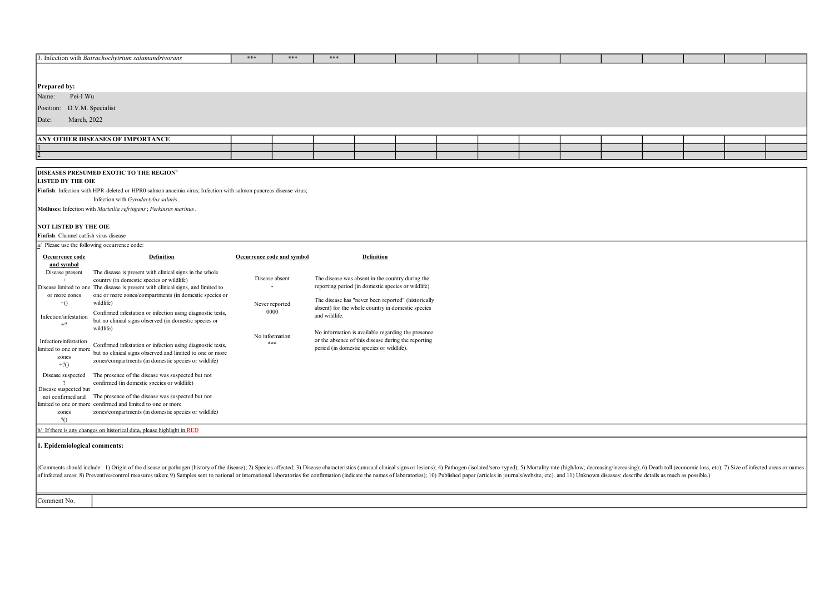| 3. Infection with Batrachochytrium salamandrivorans | *** | *** | *** |  |  |  |  |  |  |
|-----------------------------------------------------|-----|-----|-----|--|--|--|--|--|--|
|                                                     |     |     |     |  |  |  |  |  |  |
|                                                     |     |     |     |  |  |  |  |  |  |
| <b>Prepared by:</b>                                 |     |     |     |  |  |  |  |  |  |
| Name: Pei-I Wu                                      |     |     |     |  |  |  |  |  |  |
| Position: D.V.M. Specialist                         |     |     |     |  |  |  |  |  |  |
| Date:<br>March, 2022                                |     |     |     |  |  |  |  |  |  |
|                                                     |     |     |     |  |  |  |  |  |  |
| <b>ANY OTHER DISEASES OF IMPORTANCE</b>             |     |     |     |  |  |  |  |  |  |
| $\mathbf{1}$                                        |     |     |     |  |  |  |  |  |  |
| 2                                                   |     |     |     |  |  |  |  |  |  |

## DISEASES PRESUMED EXOTIC TO THE REGION<sup>b</sup>

LISTED BY THE OIE

Finfish: Infection with HPR-deleted or HPR0 salmon anaemia virus; Infection with salmon pancreas disease virus;

Infection with Gyrodactylus salaris.

Molluscs: Infection with Marteilia refringens; Perkinsus marinus.

| NOT LISTED BY THE OIE                                              |                                                                                                                                                                                           |                            |                                                                                                          |  |  |  |  |
|--------------------------------------------------------------------|-------------------------------------------------------------------------------------------------------------------------------------------------------------------------------------------|----------------------------|----------------------------------------------------------------------------------------------------------|--|--|--|--|
| Finfish: Channel catfish virus disease                             |                                                                                                                                                                                           |                            |                                                                                                          |  |  |  |  |
| a/ Please use the following occurrence code:                       |                                                                                                                                                                                           |                            |                                                                                                          |  |  |  |  |
| Occurrence code<br>and symbol                                      | <b>Definition</b>                                                                                                                                                                         | Occurrence code and symbol | <b>Definition</b>                                                                                        |  |  |  |  |
| Disease present                                                    | The disease is present with clinical signs in the whole<br>country (in domestic species or wildlife)<br>Disease limited to one The disease is present with clinical signs, and limited to | Disease absent             | The disease was absent in the country during the<br>reporting period (in domestic species or wildlife).  |  |  |  |  |
| or more zones<br>$+()$                                             | one or more zones/compartments (in domestic species or<br>wildlife)                                                                                                                       | Never reported             | The disease has "never been reported" (historically<br>absent) for the whole country in domestic species |  |  |  |  |
| Infection/infestation<br>$+2$                                      | Confirmed infestation or infection using diagnostic tests,<br>but no clinical signs observed (in domestic species or<br>wildlife)                                                         | 0000                       | and wildlife.<br>No information is available regarding the presence                                      |  |  |  |  |
| Infection/infestation<br>limited to one or more<br>zones<br>$+2()$ | Confirmed infestation or infection using diagnostic tests,<br>but no clinical signs observed and limited to one or more<br>zones/compartments (in domestic species or wildlife)           | No information<br>実業業      | or the absence of this disease during the reporting<br>period (in domestic species or wildlife).         |  |  |  |  |
| Disease suspected<br>Disease suspected but                         | The presence of the disease was suspected but not<br>confirmed (in domestic species or wildlife)                                                                                          |                            |                                                                                                          |  |  |  |  |
| not confirmed and<br>zones<br>20                                   | The presence of the disease was suspected but not<br>limited to one or more confirmed and limited to one or more<br>zones/compartments (in domestic species or wildlife)                  |                            |                                                                                                          |  |  |  |  |
|                                                                    | $\mathbf{b}'$ If there is any changes on historical data, please highlight in RED                                                                                                         |                            |                                                                                                          |  |  |  |  |

## 1. Epidemiological comments:

(Comments should include: 1) Origin of the disease or pathogen (history of the disease); 2) Species affected; 3) Disease characteristics (unusual clinical signs or lesions); 4) Pathogen (isolated/sro-typed); 5) Mortality r

Comment No.